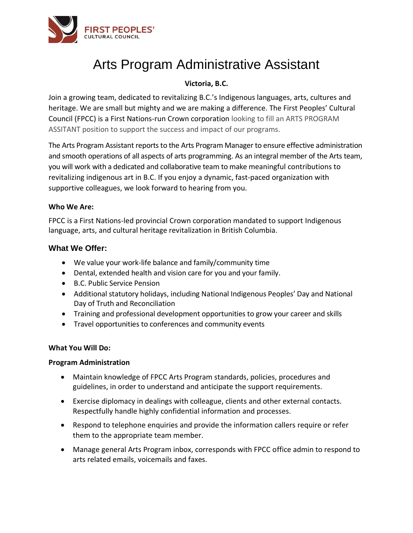

# Arts Program Administrative Assistant

## **Victoria, B.C.**

Join a growing team, dedicated to revitalizing B.C.'s Indigenous languages, arts, cultures and heritage. We are small but mighty and we are making a difference. The First Peoples' Cultural Council (FPCC) is a First Nations-run Crown corporation looking to fill an ARTS PROGRAM ASSITANT position to support the success and impact of our programs.

The Arts Program Assistant reports to the Arts Program Manager to ensure effective administration and smooth operations of all aspects of arts programming. As an integral member of the Arts team, you will work with a dedicated and collaborative team to make meaningful contributions to revitalizing indigenous art in B.C. If you enjoy a dynamic, fast-paced organization with supportive colleagues, we look forward to hearing from you.

#### **Who We Are:**

FPCC is a First Nations-led provincial Crown corporation mandated to support Indigenous language, arts, and cultural heritage revitalization in British Columbia.

## **What We Offer:**

- We value your work-life balance and family/community time
- Dental, extended health and vision care for you and your family.
- B.C. Public Service Pension
- Additional statutory holidays, including National Indigenous Peoples' Day and National Day of Truth and Reconciliation
- Training and professional development opportunities to grow your career and skills
- Travel opportunities to conferences and community events

## **What You Will Do:**

## **Program Administration**

- Maintain knowledge of FPCC Arts Program standards, policies, procedures and guidelines, in order to understand and anticipate the support requirements.
- Exercise diplomacy in dealings with colleague, clients and other external contacts. Respectfully handle highly confidential information and processes.
- Respond to telephone enquiries and provide the information callers require or refer them to the appropriate team member.
- Manage general Arts Program inbox, corresponds with FPCC office admin to respond to arts related emails, voicemails and faxes.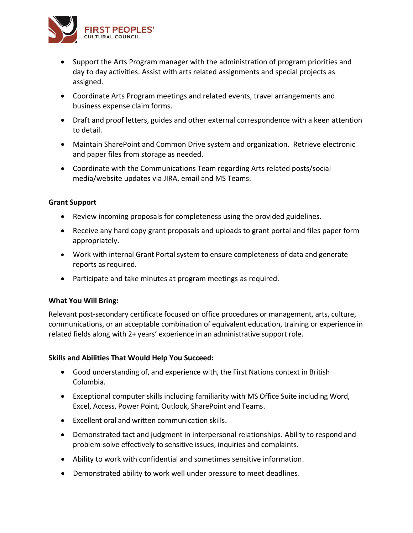

- Support the Arts Program manager with the administration of program priorities and day to day activities. Assist with arts related assignments and special projects as assigned.
- Coordinate Arts Program meetings and related events, travel arrangements and business expense claim forms.
- Draft and proof letters, guides and other external correspondence with a keen attention to detail.
- Maintain SharePoint and Common Drive system and organization. Retrieve electronic and paper files from storage as needed.
- Coordinate with the Communications Team regarding Arts related posts/social media/website updates via JIRA, email and MS Teams.

#### **Grant Support**

- Review incoming proposals for completeness using the provided guidelines.
- Receive any hard copy grant proposals and uploads to grant portal and files paper form appropriately.
- Work with internal Grant Portal system to ensure completeness of data and generate reports as required.
- Participate and take minutes at program meetings as required.

#### **What You Will Bring:**

Relevant post-secondary certificate focused on office procedures or management, arts, culture, communications, or an acceptable combination of equivalent education, training or experience in related fields along with 2+ years' experience in an administrative support role.

#### **Skills and Abilities That Would Help You Succeed:**

- Good understanding of, and experience with, the First Nations context in British Columbia.
- Exceptional computer skills including familiarity with MS Office Suite including Word, Excel, Access, Power Point, Outlook, SharePoint and Teams.
- Excellent oral and written communication skills.
- Demonstrated tact and judgment in interpersonal relationships. Ability to respond and problem-solve effectively to sensitive issues, inquiries and complaints.
- Ability to work with confidential and sometimes sensitive information.
- Demonstrated ability to work well under pressure to meet deadlines.